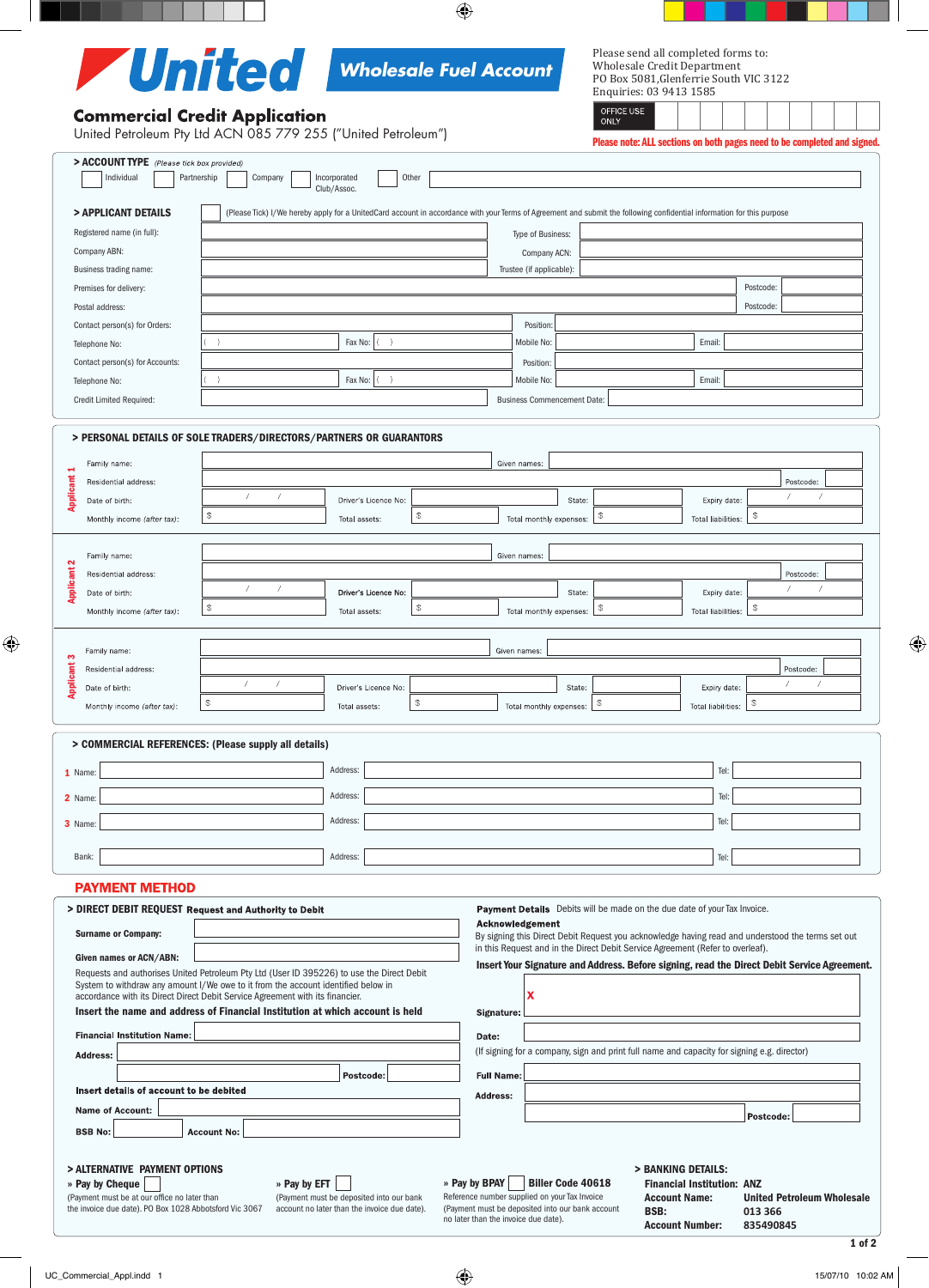

Please send all completed forms to: Wholesale Credit Department

OFFICE USE

# **Commercial Credit Application**

PO Box 5081,Glenferrie South VIC 3122 Enquiries: 03 9413 1585

| United Petroleum Pty Ltd ACN 085 779 255 ("United Petroleum")       |                                                                                                                                                                                                                                                                 |                                       |                                    | .<br>Please note: ALL sections on both pages need to be completed and signed.                                                                                                       |                |  |
|---------------------------------------------------------------------|-----------------------------------------------------------------------------------------------------------------------------------------------------------------------------------------------------------------------------------------------------------------|---------------------------------------|------------------------------------|-------------------------------------------------------------------------------------------------------------------------------------------------------------------------------------|----------------|--|
| > ACCOUNT TYPE (Please tick box provided)<br>Individual             | Partnership<br>Company                                                                                                                                                                                                                                          | Other<br>Incorporated<br>Club/Assoc.  |                                    |                                                                                                                                                                                     |                |  |
| > APPLICANT DETAILS                                                 |                                                                                                                                                                                                                                                                 |                                       |                                    | (Please Tick) I/We hereby apply for a UnitedCard account in accordance with your Terms of Agreement and submit the following confidential information for this purpose              |                |  |
| Registered name (in full):                                          |                                                                                                                                                                                                                                                                 |                                       | Type of Business:                  |                                                                                                                                                                                     |                |  |
| Company ABN:                                                        |                                                                                                                                                                                                                                                                 |                                       | Company ACN:                       |                                                                                                                                                                                     |                |  |
| Business trading name:                                              |                                                                                                                                                                                                                                                                 |                                       | Trustee (if applicable):           |                                                                                                                                                                                     |                |  |
| Premises for delivery:                                              |                                                                                                                                                                                                                                                                 |                                       |                                    |                                                                                                                                                                                     | Postcode:      |  |
| Postal address:                                                     |                                                                                                                                                                                                                                                                 |                                       |                                    |                                                                                                                                                                                     | Postcode:      |  |
| Contact person(s) for Orders:                                       |                                                                                                                                                                                                                                                                 |                                       | Position:                          |                                                                                                                                                                                     |                |  |
| Telephone No:                                                       |                                                                                                                                                                                                                                                                 | Fax No:                               | Mobile No:                         | Email:                                                                                                                                                                              |                |  |
| Contact person(s) for Accounts:                                     |                                                                                                                                                                                                                                                                 |                                       | Position:                          |                                                                                                                                                                                     |                |  |
| Telephone No:                                                       |                                                                                                                                                                                                                                                                 | Fax No:                               | Mobile No:                         | Email:                                                                                                                                                                              |                |  |
| Credit Limited Required:                                            |                                                                                                                                                                                                                                                                 |                                       | <b>Business Commencement Date:</b> |                                                                                                                                                                                     |                |  |
|                                                                     |                                                                                                                                                                                                                                                                 |                                       |                                    |                                                                                                                                                                                     |                |  |
| > PERSONAL DETAILS OF SOLE TRADERS/DIRECTORS/PARTNERS OR GUARANTORS |                                                                                                                                                                                                                                                                 |                                       |                                    |                                                                                                                                                                                     |                |  |
| Family name:                                                        |                                                                                                                                                                                                                                                                 |                                       | Given names:                       |                                                                                                                                                                                     |                |  |
| Residential address:                                                |                                                                                                                                                                                                                                                                 |                                       |                                    |                                                                                                                                                                                     | Postcode:      |  |
| <b>Applicant 1</b><br>Date of birth:                                |                                                                                                                                                                                                                                                                 | Driver's Licence No:                  | State:                             | Expiry date:                                                                                                                                                                        |                |  |
| Monthly income (after tax):                                         | $\mathcal{F}$                                                                                                                                                                                                                                                   | \$<br>Total assets:                   | Total monthly expenses:            | <b>Total liabilities:</b>                                                                                                                                                           | $\mathbb{S}$   |  |
|                                                                     |                                                                                                                                                                                                                                                                 |                                       |                                    |                                                                                                                                                                                     |                |  |
| Family name:                                                        |                                                                                                                                                                                                                                                                 |                                       | Given names:                       |                                                                                                                                                                                     |                |  |
| <b>Applicant 2</b><br>Residential address:                          |                                                                                                                                                                                                                                                                 |                                       |                                    |                                                                                                                                                                                     | Postcode:<br>7 |  |
| Date of birth:                                                      |                                                                                                                                                                                                                                                                 | Driver's Licence No:                  | State:                             | Expiry date:                                                                                                                                                                        |                |  |
| Monthly income (after tax):                                         | $\mathcal{F}$                                                                                                                                                                                                                                                   | $\circledast$<br>Total assets:        | Total monthly expenses:            | \$<br>Total liabilities:                                                                                                                                                            | $\mathbb{S}$   |  |
|                                                                     |                                                                                                                                                                                                                                                                 |                                       |                                    |                                                                                                                                                                                     |                |  |
| Family name:                                                        |                                                                                                                                                                                                                                                                 |                                       | Given names:                       |                                                                                                                                                                                     |                |  |
| <b>Applicant 3</b><br>Residential address:                          | 7<br>7                                                                                                                                                                                                                                                          |                                       |                                    |                                                                                                                                                                                     | Postcode:      |  |
| Date of birth:                                                      | $\mathbb{S}$                                                                                                                                                                                                                                                    | Driver's Licence No:<br>$\mathcal{L}$ | State:                             | Expiry date:<br>\$                                                                                                                                                                  | $\frac{6}{2}$  |  |
| Monthly income (after tax):                                         |                                                                                                                                                                                                                                                                 | Total assets:                         | Total monthly expenses:            | <b>Total liabilities:</b>                                                                                                                                                           |                |  |
| > COMMERCIAL REFERENCES: (Please supply all details)                |                                                                                                                                                                                                                                                                 |                                       |                                    |                                                                                                                                                                                     |                |  |
|                                                                     |                                                                                                                                                                                                                                                                 | Address:                              |                                    | Tel:                                                                                                                                                                                |                |  |
| 1 Name:                                                             |                                                                                                                                                                                                                                                                 |                                       |                                    |                                                                                                                                                                                     |                |  |
| 2 Name:                                                             |                                                                                                                                                                                                                                                                 | Address:                              |                                    | Tel:                                                                                                                                                                                |                |  |
| 3 Name:                                                             |                                                                                                                                                                                                                                                                 | Address:                              |                                    | Tel:                                                                                                                                                                                |                |  |
| Bank:                                                               |                                                                                                                                                                                                                                                                 | Address:                              |                                    | Tel:                                                                                                                                                                                |                |  |
| <b>PAYMENT METHOD</b>                                               |                                                                                                                                                                                                                                                                 |                                       |                                    |                                                                                                                                                                                     |                |  |
| > DIRECT DEBIT REQUEST Request and Authority to Debit               |                                                                                                                                                                                                                                                                 |                                       |                                    | Payment Details Debits will be made on the due date of your Tax Invoice.                                                                                                            |                |  |
|                                                                     |                                                                                                                                                                                                                                                                 |                                       | Acknowledgement                    |                                                                                                                                                                                     |                |  |
| <b>Surname or Company:</b>                                          |                                                                                                                                                                                                                                                                 |                                       |                                    | By signing this Direct Debit Request you acknowledge having read and understood the terms set out<br>in this Request and in the Direct Debit Service Agreement (Refer to overleaf). |                |  |
| Given names or ACN/ABN:                                             |                                                                                                                                                                                                                                                                 |                                       |                                    | Insert Your Signature and Address. Before signing, read the Direct Debit Service Agreement.                                                                                         |                |  |
|                                                                     | Requests and authorises United Petroleum Pty Ltd (User ID 395226) to use the Direct Debit<br>System to withdraw any amount I/We owe to it from the account identified below in<br>accordance with its Direct Direct Debit Service Agreement with its financier. |                                       | x                                  |                                                                                                                                                                                     |                |  |
|                                                                     | Insert the name and address of Financial Institution at which account is held                                                                                                                                                                                   |                                       | Signature:                         |                                                                                                                                                                                     |                |  |
| <b>Financial Institution Name:</b>                                  |                                                                                                                                                                                                                                                                 |                                       |                                    |                                                                                                                                                                                     |                |  |
| <b>Address:</b>                                                     | Date:<br>(If signing for a company, sign and print full name and capacity for signing e.g. director)                                                                                                                                                            |                                       |                                    |                                                                                                                                                                                     |                |  |
|                                                                     |                                                                                                                                                                                                                                                                 |                                       |                                    |                                                                                                                                                                                     |                |  |
| Insert details of account to be debited                             |                                                                                                                                                                                                                                                                 | Postcode:                             | <b>Full Name:</b>                  |                                                                                                                                                                                     |                |  |
| <b>Name of Account:</b>                                             |                                                                                                                                                                                                                                                                 |                                       | <b>Address:</b>                    |                                                                                                                                                                                     |                |  |
|                                                                     |                                                                                                                                                                                                                                                                 |                                       |                                    |                                                                                                                                                                                     | Postcode:      |  |

## > ALTERNATIVE PAYMENT OPTIONS

» Pay by Cheque

**BSB No:** 

(Payment must be at our office no later than the invoice due date). PO Box 1028 Abbotsford Vic 3067

**Account No:** 

» Pay by BPAY Biller Code 40618 Reference number supplied on your Tax Invoice (Payment must be deposited into our bank account

no later than the invoice due date).

- > BANKING DETAILS: Financial Institution: ANZ
- Account Name: United Petroleum Wholesale BSB: **013 366 Account Number:**